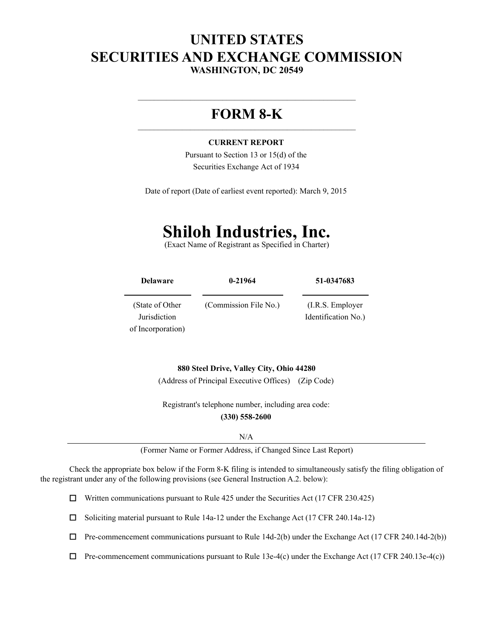# **UNITED STATES SECURITIES AND EXCHANGE COMMISSION WASHINGTON, DC 20549**

# **FORM 8-K**

 $\mathcal{L}_\text{max}$  , and the contract of the contract of the contract of the contract of the contract of the contract of the contract of the contract of the contract of the contract of the contract of the contract of the contr

#### **CURRENT REPORT**

Pursuant to Section 13 or 15(d) of the Securities Exchange Act of 1934

Date of report (Date of earliest event reported): March 9, 2015

# **Shiloh Industries, Inc.**

(Exact Name of Registrant as Specified in Charter)

| <b>Delaware</b>   | $0 - 21964$           | 51-0347683          |  |  |  |
|-------------------|-----------------------|---------------------|--|--|--|
| (State of Other)  | (Commission File No.) | $(I.R.S.$ Employer  |  |  |  |
| Jurisdiction      |                       | Identification No.) |  |  |  |
| of Incorporation) |                       |                     |  |  |  |

**880 Steel Drive, Valley City, Ohio 44280** (Address of Principal Executive Offices) (Zip Code)

Registrant's telephone number, including area code: **(330) 558-2600**

N/A

(Former Name or Former Address, if Changed Since Last Report)

Check the appropriate box below if the Form 8-K filing is intended to simultaneously satisfy the filing obligation of the registrant under any of the following provisions (see General Instruction A.2. below):

Written communications pursuant to Rule 425 under the Securities Act (17 CFR 230.425)  $\Box$ 

Soliciting material pursuant to Rule 14a-12 under the Exchange Act (17 CFR 240.14a-12)  $\Box$ 

 $\Box$  Pre-commencement communications pursuant to Rule 14d-2(b) under the Exchange Act (17 CFR 240.14d-2(b))

 $\Box$  Pre-commencement communications pursuant to Rule 13e-4(c) under the Exchange Act (17 CFR 240.13e-4(c))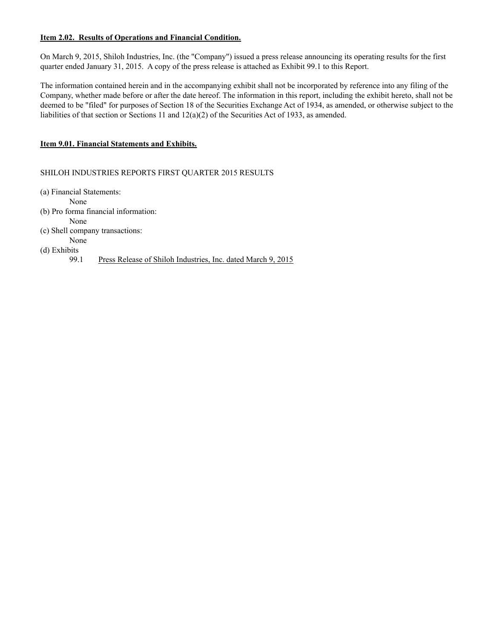#### **Item 2.02. Results of Operations and Financial Condition.**

On March 9, 2015, Shiloh Industries, Inc. (the "Company") issued a press release announcing its operating results for the first quarter ended January 31, 2015. A copy of the press release is attached as Exhibit 99.1 to this Report.

The information contained herein and in the accompanying exhibit shall not be incorporated by reference into any filing of the Company, whether made before or after the date hereof. The information in this report, including the exhibit hereto, shall not be deemed to be "filed" for purposes of Section 18 of the Securities Exchange Act of 1934, as amended, or otherwise subject to the liabilities of that section or Sections 11 and  $12(a)(2)$  of the Securities Act of 1933, as amended.

#### **Item 9.01. Financial Statements and Exhibits.**

SHILOH INDUSTRIES REPORTS FIRST QUARTER 2015 RESULTS

(a) Financial Statements:

None

(b) Pro forma financial information:

None

(c) Shell company transactions:

None (d) Exhibits

99.1 Press Release of Shiloh Industries, Inc. dated March 9, 2015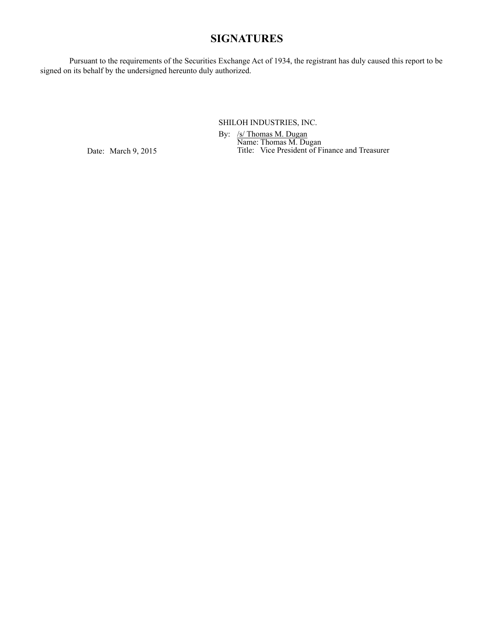# **SIGNATURES**

Pursuant to the requirements of the Securities Exchange Act of 1934, the registrant has duly caused this report to be signed on its behalf by the undersigned hereunto duly authorized.

SHILOH INDUSTRIES, INC.

By: /s/ Thomas M. Dugan Name: Thomas M. Dugan Title: Vice President of Finance and Treasurer

Date: March 9, 2015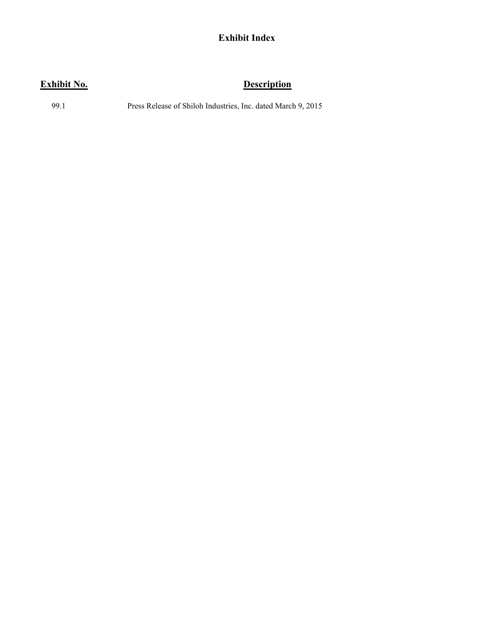# **Exhibit Index**

# **Exhibit No. Description**

99.1 Press Release of Shiloh Industries, Inc. dated March 9, 2015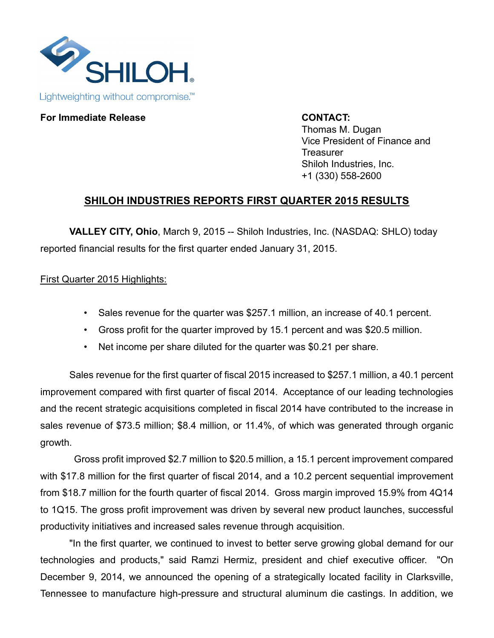

# **For Immediate Release CONTACT:**

Thomas M. Dugan Vice President of Finance and **Treasurer** Shiloh Industries, Inc. +1 (330) 558-2600

# **SHILOH INDUSTRIES REPORTS FIRST QUARTER 2015 RESULTS**

**VALLEY CITY, Ohio**, March 9, 2015 -- Shiloh Industries, Inc. (NASDAQ: SHLO) today reported financial results for the first quarter ended January 31, 2015.

# First Quarter 2015 Highlights:

- Sales revenue for the quarter was \$257.1 million, an increase of 40.1 percent.
- Gross profit for the quarter improved by 15.1 percent and was \$20.5 million.
- Net income per share diluted for the quarter was \$0.21 per share.

Sales revenue for the first quarter of fiscal 2015 increased to \$257.1 million, a 40.1 percent improvement compared with first quarter of fiscal 2014. Acceptance of our leading technologies and the recent strategic acquisitions completed in fiscal 2014 have contributed to the increase in sales revenue of \$73.5 million; \$8.4 million, or 11.4%, of which was generated through organic growth.

Gross profit improved \$2.7 million to \$20.5 million, a 15.1 percent improvement compared with \$17.8 million for the first quarter of fiscal 2014, and a 10.2 percent sequential improvement from \$18.7 million for the fourth quarter of fiscal 2014. Gross margin improved 15.9% from 4Q14 to 1Q15. The gross profit improvement was driven by several new product launches, successful productivity initiatives and increased sales revenue through acquisition.

"In the first quarter, we continued to invest to better serve growing global demand for our technologies and products," said Ramzi Hermiz, president and chief executive officer. "On December 9, 2014, we announced the opening of a strategically located facility in Clarksville, Tennessee to manufacture high-pressure and structural aluminum die castings. In addition, we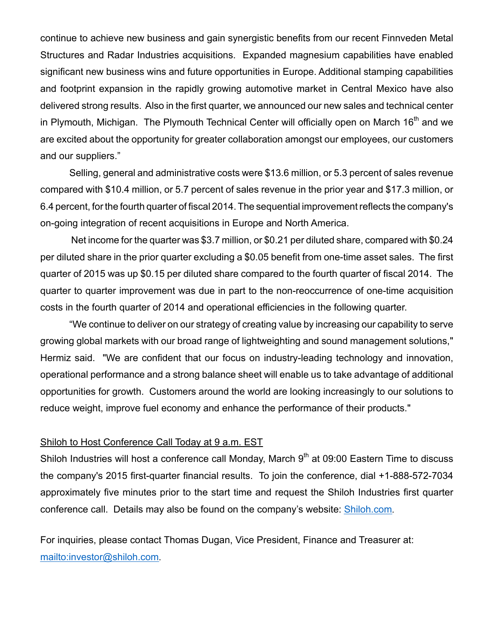continue to achieve new business and gain synergistic benefits from our recent Finnveden Metal Structures and Radar Industries acquisitions. Expanded magnesium capabilities have enabled significant new business wins and future opportunities in Europe. Additional stamping capabilities and footprint expansion in the rapidly growing automotive market in Central Mexico have also delivered strong results. Also in the first quarter, we announced our new sales and technical center in Plymouth, Michigan. The Plymouth Technical Center will officially open on March  $16<sup>th</sup>$  and we are excited about the opportunity for greater collaboration amongst our employees, our customers and our suppliers."

Selling, general and administrative costs were \$13.6 million, or 5.3 percent of sales revenue compared with \$10.4 million, or 5.7 percent of sales revenue in the prior year and \$17.3 million, or 6.4 percent, for the fourth quarter of fiscal 2014. The sequential improvement reflects the company's on-going integration of recent acquisitions in Europe and North America.

Net income for the quarter was \$3.7 million, or \$0.21 per diluted share, compared with \$0.24 per diluted share in the prior quarter excluding a \$0.05 benefit from one-time asset sales. The first quarter of 2015 was up \$0.15 per diluted share compared to the fourth quarter of fiscal 2014. The quarter to quarter improvement was due in part to the non-reoccurrence of one-time acquisition costs in the fourth quarter of 2014 and operational efficiencies in the following quarter.

"We continue to deliver on our strategy of creating value by increasing our capability to serve growing global markets with our broad range of lightweighting and sound management solutions," Hermiz said. "We are confident that our focus on industry-leading technology and innovation, operational performance and a strong balance sheet will enable us to take advantage of additional opportunities for growth. Customers around the world are looking increasingly to our solutions to reduce weight, improve fuel economy and enhance the performance of their products."

# Shiloh to Host Conference Call Today at 9 a.m. EST

Shiloh Industries will host a conference call Monday, March  $9<sup>th</sup>$  at 09:00 Eastern Time to discuss the company's 2015 first-quarter financial results. To join the conference, dial +1-888-572-7034 approximately five minutes prior to the start time and request the Shiloh Industries first quarter conference call. Details may also be found on the company's website: Shiloh.com.

For inquiries, please contact Thomas Dugan, Vice President, Finance and Treasurer at: mailto:investor@shiloh.com.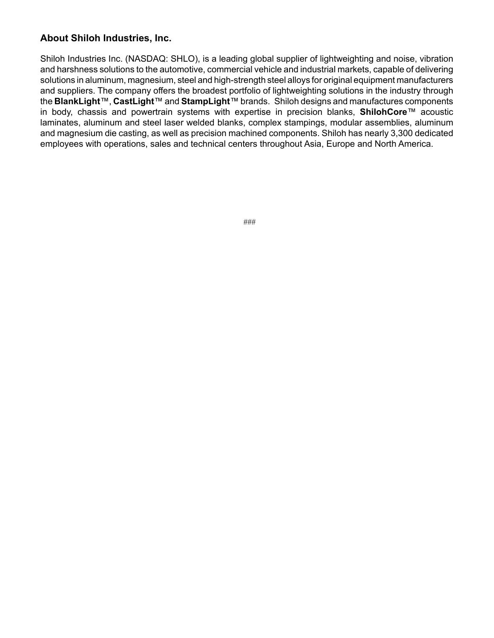# **About Shiloh Industries, Inc.**

Shiloh Industries Inc. (NASDAQ: SHLO), is a leading global supplier of lightweighting and noise, vibration and harshness solutions to the automotive, commercial vehicle and industrial markets, capable of delivering solutions in aluminum, magnesium, steel and high-strength steel alloys for original equipment manufacturers and suppliers. The company offers the broadest portfolio of lightweighting solutions in the industry through the **BlankLight**™, **CastLight**™ and **StampLight**™ brands. Shiloh designs and manufactures components in body, chassis and powertrain systems with expertise in precision blanks, **ShilohCore**™ acoustic laminates, aluminum and steel laser welded blanks, complex stampings, modular assemblies, aluminum and magnesium die casting, as well as precision machined components. Shiloh has nearly 3,300 dedicated employees with operations, sales and technical centers throughout Asia, Europe and North America.

###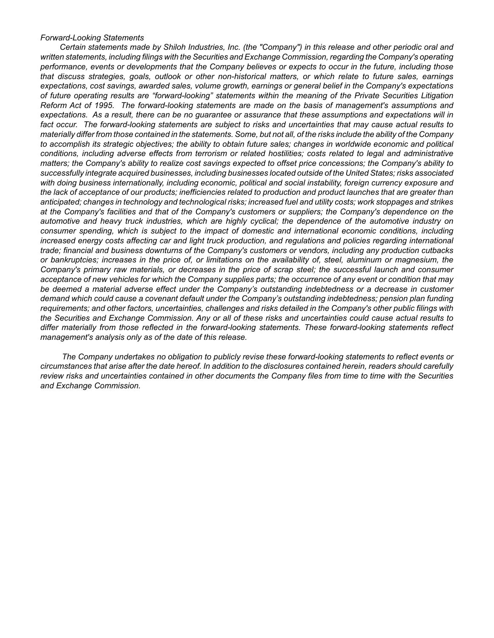#### *Forward-Looking Statements*

*Certain statements made by Shiloh Industries, Inc. (the "Company") in this release and other periodic oral and written statements, including filings with the Securities and Exchange Commission, regarding the Company's operating performance, events or developments that the Company believes or expects to occur in the future, including those that discuss strategies, goals, outlook or other non-historical matters, or which relate to future sales, earnings expectations, cost savings, awarded sales, volume growth, earnings or general belief in the Company's expectations of future operating results are "forward-looking" statements within the meaning of the Private Securities Litigation Reform Act of 1995. The forward-looking statements are made on the basis of management's assumptions and expectations. As a result, there can be no guarantee or assurance that these assumptions and expectations will in fact occur. The forward-looking statements are subject to risks and uncertainties that may cause actual results to materially differ from those contained in the statements. Some, but not all, of the risks include the ability of the Company to accomplish its strategic objectives; the ability to obtain future sales; changes in worldwide economic and political conditions, including adverse effects from terrorism or related hostilities; costs related to legal and administrative matters; the Company's ability to realize cost savings expected to offset price concessions; the Company's ability to successfully integrate acquired businesses, including businesses located outside of the United States; risks associated with doing business internationally, including economic, political and social instability, foreign currency exposure and the lack of acceptance of our products; inefficiencies related to production and product launches that are greater than anticipated; changes in technology and technological risks; increased fuel and utility costs; work stoppages and strikes at the Company's facilities and that of the Company's customers or suppliers; the Company's dependence on the automotive and heavy truck industries, which are highly cyclical; the dependence of the automotive industry on consumer spending, which is subject to the impact of domestic and international economic conditions, including*  increased energy costs affecting car and light truck production, and regulations and policies regarding international *trade; financial and business downturns of the Company's customers or vendors, including any production cutbacks or bankruptcies; increases in the price of, or limitations on the availability of, steel, aluminum or magnesium, the Company's primary raw materials, or decreases in the price of scrap steel; the successful launch and consumer acceptance of new vehicles for which the Company supplies parts; the occurrence of any event or condition that may be deemed a material adverse effect under the Company's outstanding indebtedness or a decrease in customer demand which could cause a covenant default under the Company's outstanding indebtedness; pension plan funding requirements; and other factors, uncertainties, challenges and risks detailed in the Company's other public filings with the Securities and Exchange Commission. Any or all of these risks and uncertainties could cause actual results to differ materially from those reflected in the forward-looking statements. These forward-looking statements reflect management's analysis only as of the date of this release.*

*The Company undertakes no obligation to publicly revise these forward-looking statements to reflect events or circumstances that arise after the date hereof. In addition to the disclosures contained herein, readers should carefully review risks and uncertainties contained in other documents the Company files from time to time with the Securities and Exchange Commission.*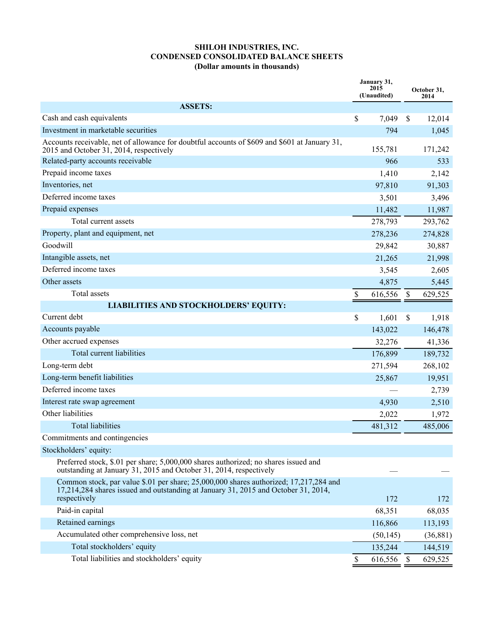#### **SHILOH INDUSTRIES, INC. CONDENSED CONSOLIDATED BALANCE SHEETS (Dollar amounts in thousands)**

|                                                                                                                                                                                             | January 31,<br>2015<br>(Unaudited) |               | October 31,<br>2014 |  |
|---------------------------------------------------------------------------------------------------------------------------------------------------------------------------------------------|------------------------------------|---------------|---------------------|--|
| <b>ASSETS:</b>                                                                                                                                                                              |                                    |               |                     |  |
| Cash and cash equivalents                                                                                                                                                                   | \$<br>7,049                        | <sup>\$</sup> | 12,014              |  |
| Investment in marketable securities                                                                                                                                                         | 794                                |               | 1,045               |  |
| Accounts receivable, net of allowance for doubtful accounts of \$609 and \$601 at January 31,<br>2015 and October 31, 2014, respectively                                                    | 155,781                            |               | 171,242             |  |
| Related-party accounts receivable                                                                                                                                                           | 966                                |               | 533                 |  |
| Prepaid income taxes                                                                                                                                                                        | 1,410                              |               | 2,142               |  |
| Inventories, net                                                                                                                                                                            | 97,810                             |               | 91,303              |  |
| Deferred income taxes                                                                                                                                                                       | 3,501                              |               | 3,496               |  |
| Prepaid expenses                                                                                                                                                                            | 11,482                             |               | 11,987              |  |
| Total current assets                                                                                                                                                                        | 278,793                            |               | 293,762             |  |
| Property, plant and equipment, net                                                                                                                                                          | 278,236                            |               | 274,828             |  |
| Goodwill                                                                                                                                                                                    | 29,842                             |               | 30,887              |  |
| Intangible assets, net                                                                                                                                                                      | 21,265                             |               | 21,998              |  |
| Deferred income taxes                                                                                                                                                                       | 3,545                              |               | 2,605               |  |
| Other assets                                                                                                                                                                                | 4,875                              |               | 5,445               |  |
| Total assets                                                                                                                                                                                | \$<br>616,556                      | \$            | 629,525             |  |
| <b>LIABILITIES AND STOCKHOLDERS' EQUITY:</b>                                                                                                                                                |                                    |               |                     |  |
| Current debt                                                                                                                                                                                | \$<br>1,601                        | \$            | 1,918               |  |
| Accounts payable                                                                                                                                                                            | 143,022                            |               | 146,478             |  |
| Other accrued expenses                                                                                                                                                                      | 32,276                             |               | 41,336              |  |
| Total current liabilities                                                                                                                                                                   | 176,899                            |               | 189,732             |  |
| Long-term debt                                                                                                                                                                              | 271,594                            |               | 268,102             |  |
| Long-term benefit liabilities                                                                                                                                                               | 25,867                             |               | 19,951              |  |
| Deferred income taxes                                                                                                                                                                       |                                    |               | 2,739               |  |
| Interest rate swap agreement                                                                                                                                                                | 4,930                              |               | 2,510               |  |
| Other liabilities                                                                                                                                                                           | 2,022                              |               | 1,972               |  |
| <b>Total liabilities</b>                                                                                                                                                                    | 481,312                            |               | 485,006             |  |
| Commitments and contingencies                                                                                                                                                               |                                    |               |                     |  |
| Stockholders' equity:                                                                                                                                                                       |                                    |               |                     |  |
| Preferred stock, \$.01 per share; 5,000,000 shares authorized; no shares issued and<br>outstanding at January 31, 2015 and October 31, 2014, respectively                                   |                                    |               |                     |  |
| Common stock, par value \$.01 per share; 25,000,000 shares authorized; 17,217,284 and<br>17,214,284 shares issued and outstanding at January 31, 2015 and October 31, 2014,<br>respectively | 172                                |               | 172                 |  |
| Paid-in capital                                                                                                                                                                             | 68,351                             |               | 68,035              |  |
| Retained earnings                                                                                                                                                                           | 116,866                            |               | 113,193             |  |
| Accumulated other comprehensive loss, net                                                                                                                                                   | (50, 145)                          |               | (36, 881)           |  |
| Total stockholders' equity                                                                                                                                                                  | 135,244                            |               | 144,519             |  |
| Total liabilities and stockholders' equity                                                                                                                                                  | \$<br>616,556                      | <sup>S</sup>  | 629,525             |  |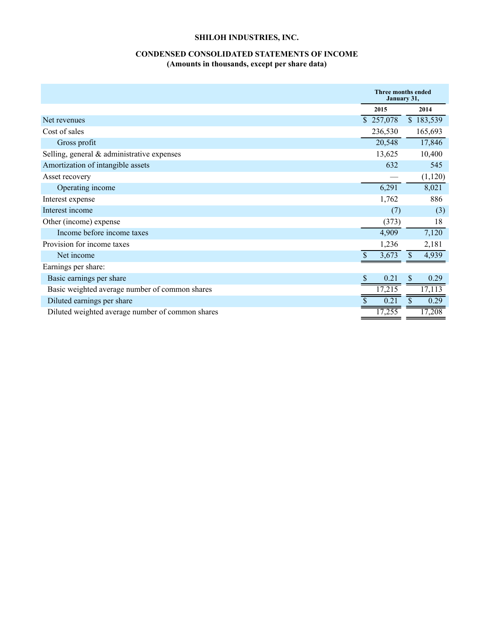# **SHILOH INDUSTRIES, INC.**

## **CONDENSED CONSOLIDATED STATEMENTS OF INCOME (Amounts in thousands, except per share data)**

|                                                  |     | <b>Three months ended</b><br>January 31, |              |           |
|--------------------------------------------------|-----|------------------------------------------|--------------|-----------|
|                                                  |     | 2015                                     |              | 2014      |
| Net revenues                                     |     | \$257,078                                |              | \$183,539 |
| Cost of sales                                    |     | 236,530                                  |              | 165,693   |
| Gross profit                                     |     | 20,548                                   |              | 17,846    |
| Selling, general & administrative expenses       |     | 13,625                                   |              | 10,400    |
| Amortization of intangible assets                |     | 632                                      |              | 545       |
| Asset recovery                                   |     |                                          |              | (1,120)   |
| Operating income                                 |     | 6,291                                    |              | 8,021     |
| Interest expense                                 |     | 1,762                                    |              | 886       |
| Interest income                                  |     | (7)                                      |              | (3)       |
| Other (income) expense                           |     | (373)                                    |              | 18        |
| Income before income taxes                       |     | 4,909                                    |              | 7,120     |
| Provision for income taxes                       |     | 1,236                                    |              | 2,181     |
| Net income                                       |     | 3,673                                    |              | 4,939     |
| Earnings per share:                              |     |                                          |              |           |
| Basic earnings per share                         | \$. | 0.21                                     | $\mathbb{S}$ | 0.29      |
| Basic weighted average number of common shares   |     | 17,215                                   |              | 17,113    |
| Diluted earnings per share                       |     | 0.21                                     |              | 0.29      |
| Diluted weighted average number of common shares |     | 17,255                                   |              | 17,208    |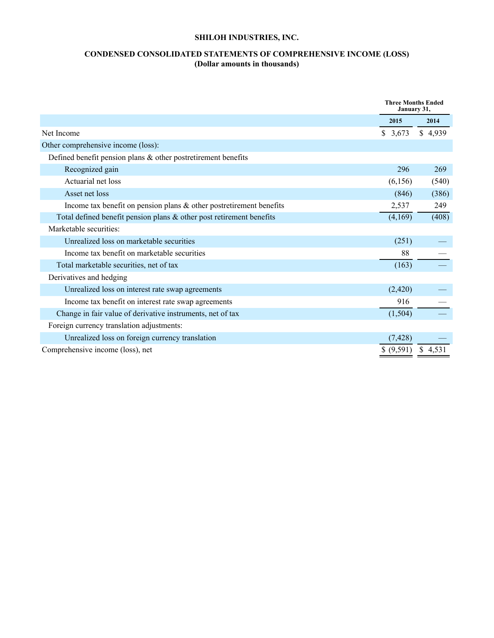# **SHILOH INDUSTRIES, INC.**

### **CONDENSED CONSOLIDATED STATEMENTS OF COMPREHENSIVE INCOME (LOSS) (Dollar amounts in thousands)**

|                                                                         | <b>Three Months Ended</b><br>January 31, |         |
|-------------------------------------------------------------------------|------------------------------------------|---------|
|                                                                         | 2015                                     | 2014    |
| Net Income                                                              | \$3,673                                  | \$4,939 |
| Other comprehensive income (loss):                                      |                                          |         |
| Defined benefit pension plans & other postretirement benefits           |                                          |         |
| Recognized gain                                                         | 296                                      | 269     |
| Actuarial net loss                                                      | (6,156)                                  | (540)   |
| Asset net loss                                                          | (846)                                    | (386)   |
| Income tax benefit on pension plans & other postretirement benefits     | 2,537                                    | 249     |
| Total defined benefit pension plans $\&$ other post retirement benefits | (4,169)                                  | (408)   |
| Marketable securities:                                                  |                                          |         |
| Unrealized loss on marketable securities                                | (251)                                    |         |
| Income tax benefit on marketable securities                             | 88                                       |         |
| Total marketable securities, net of tax                                 | (163)                                    |         |
| Derivatives and hedging                                                 |                                          |         |
| Unrealized loss on interest rate swap agreements                        | (2,420)                                  |         |
| Income tax benefit on interest rate swap agreements                     | 916                                      |         |
| Change in fair value of derivative instruments, net of tax              | (1,504)                                  |         |
| Foreign currency translation adjustments:                               |                                          |         |
| Unrealized loss on foreign currency translation                         | (7, 428)                                 |         |
| Comprehensive income (loss), net                                        | \$ (9,591)                               | \$4,531 |